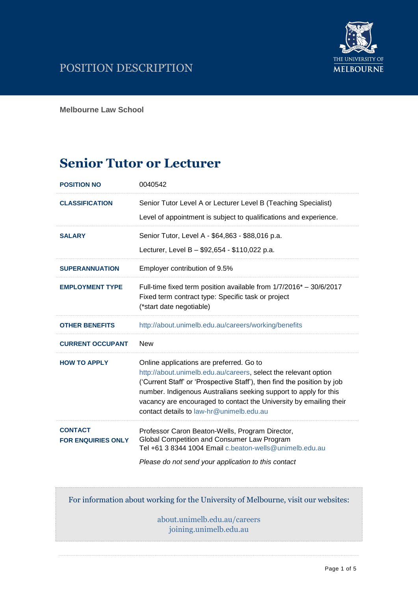

**Melbourne Law School**

# **Senior Tutor or Lecturer**

| <b>POSITION NO</b>      | 0040542                                                                                                                                                                                                                                                                                                                          |
|-------------------------|----------------------------------------------------------------------------------------------------------------------------------------------------------------------------------------------------------------------------------------------------------------------------------------------------------------------------------|
| <b>CLASSIFICATION</b>   | Senior Tutor Level A or Lecturer Level B (Teaching Specialist)<br>Level of appointment is subject to qualifications and experience.                                                                                                                                                                                              |
| <b>SALARY</b>           | Senior Tutor, Level A - \$64,863 - \$88,016 p.a.<br>Lecturer, Level B - \$92,654 - \$110,022 p.a.                                                                                                                                                                                                                                |
| <b>SUPERANNUATION</b>   | Employer contribution of 9.5%                                                                                                                                                                                                                                                                                                    |
| <b>EMPLOYMENT TYPE</b>  | Full-time fixed term position available from 1/7/2016* - 30/6/2017<br>Fixed term contract type: Specific task or project<br>(*start date negotiable)                                                                                                                                                                             |
| <b>OTHER BENEFITS</b>   | http://about.unimelb.edu.au/careers/working/benefits                                                                                                                                                                                                                                                                             |
| <b>CURRENT OCCUPANT</b> | <b>New</b>                                                                                                                                                                                                                                                                                                                       |
| <b>HOW TO APPLY</b>     | Online applications are preferred. Go to<br>http://about.unimelb.edu.au/careers, select the relevant option<br>('Current Staff' or 'Prospective Staff'), then find the position by job<br>number. Indigenous Australians seeking support to apply for this<br>vacancy are encouraged to contact the University by emailing their |
|                         | contact details to law-hr@unimelb.edu.au                                                                                                                                                                                                                                                                                         |

For information about working for the University of Melbourne, visit our websites:

[about.unimelb.edu.au/careers](http://www.hr.unimelb.edu.au/careers) joining.unimelb.edu.au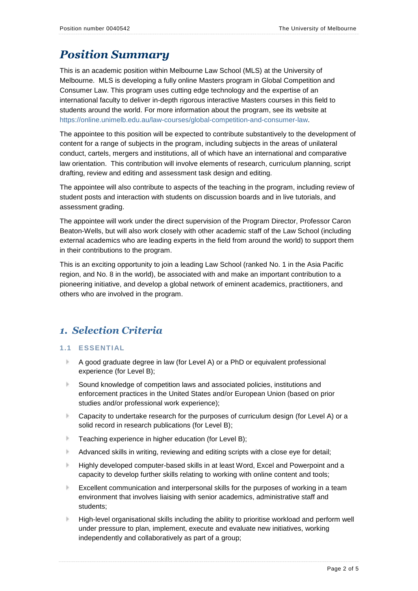# *Position Summary*

This is an academic position within Melbourne Law School (MLS) at the University of Melbourne. MLS is developing a fully online Masters program in Global Competition and Consumer Law. This program uses cutting edge technology and the expertise of an international faculty to deliver in-depth rigorous interactive Masters courses in this field to students around the world. For more information about the program, see its website at [https://online.unimelb.edu.au/law-courses/global-competition-and-consumer-law.](https://online.unimelb.edu.au/law-courses/global-competition-and-consumer-law)

The appointee to this position will be expected to contribute substantively to the development of content for a range of subjects in the program, including subjects in the areas of unilateral conduct, cartels, mergers and institutions, all of which have an international and comparative law orientation. This contribution will involve elements of research, curriculum planning, script drafting, review and editing and assessment task design and editing.

The appointee will also contribute to aspects of the teaching in the program, including review of student posts and interaction with students on discussion boards and in live tutorials, and assessment grading.

The appointee will work under the direct supervision of the Program Director, Professor Caron Beaton-Wells, but will also work closely with other academic staff of the Law School (including external academics who are leading experts in the field from around the world) to support them in their contributions to the program.

This is an exciting opportunity to join a leading Law School (ranked No. 1 in the Asia Pacific region, and No. 8 in the world), be associated with and make an important contribution to a pioneering initiative, and develop a global network of eminent academics, practitioners, and others who are involved in the program.

## *1. Selection Criteria*

#### **1.1 ESSENTIAL**

- b. A good graduate degree in law (for Level A) or a PhD or equivalent professional experience (for Level B);
- Sound knowledge of competition laws and associated policies, institutions and enforcement practices in the United States and/or European Union (based on prior studies and/or professional work experience);
- Capacity to undertake research for the purposes of curriculum design (for Level A) or a solid record in research publications (for Level B);
- b. Teaching experience in higher education (for Level B);
- b. Advanced skills in writing, reviewing and editing scripts with a close eye for detail;
- Highly developed computer-based skills in at least Word, Excel and Powerpoint and a capacity to develop further skills relating to working with online content and tools;
- Excellent communication and interpersonal skills for the purposes of working in a team environment that involves liaising with senior academics, administrative staff and students;
- High-level organisational skills including the ability to prioritise workload and perform well under pressure to plan, implement, execute and evaluate new initiatives, working independently and collaboratively as part of a group;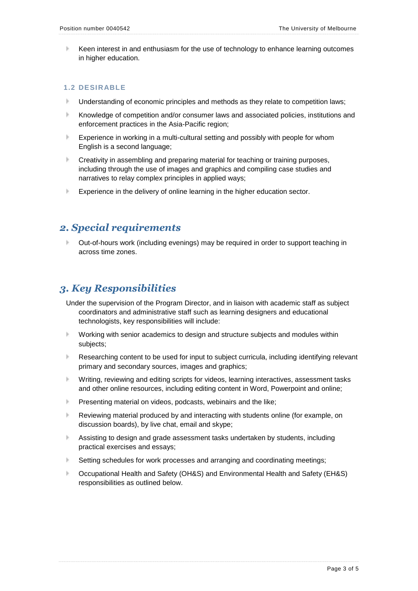Keen interest in and enthusiasm for the use of technology to enhance learning outcomes in higher education.

#### **1.2 DESIRABLE**

- Understanding of economic principles and methods as they relate to competition laws;
- Knowledge of competition and/or consumer laws and associated policies, institutions and enforcement practices in the Asia-Pacific region;
- K. Experience in working in a multi-cultural setting and possibly with people for whom English is a second language;
- Creativity in assembling and preparing material for teaching or training purposes, including through the use of images and graphics and compiling case studies and narratives to relay complex principles in applied ways;
- Experience in the delivery of online learning in the higher education sector.

### *2. Special requirements*

Out-of-hours work (including evenings) may be required in order to support teaching in across time zones.

### *3. Key Responsibilities*

- Under the supervision of the Program Director, and in liaison with academic staff as subject coordinators and administrative staff such as learning designers and educational technologists, key responsibilities will include:
- Working with senior academics to design and structure subjects and modules within subjects;
- Researching content to be used for input to subject curricula, including identifying relevant primary and secondary sources, images and graphics;
- Writing, reviewing and editing scripts for videos, learning interactives, assessment tasks b. and other online resources, including editing content in Word, Powerpoint and online;
- Presenting material on videos, podcasts, webinairs and the like;
- Reviewing material produced by and interacting with students online (for example, on discussion boards), by live chat, email and skype;
- Assisting to design and grade assessment tasks undertaken by students, including practical exercises and essays;
- b. Setting schedules for work processes and arranging and coordinating meetings;
- b. Occupational Health and Safety (OH&S) and Environmental Health and Safety (EH&S) responsibilities as outlined below.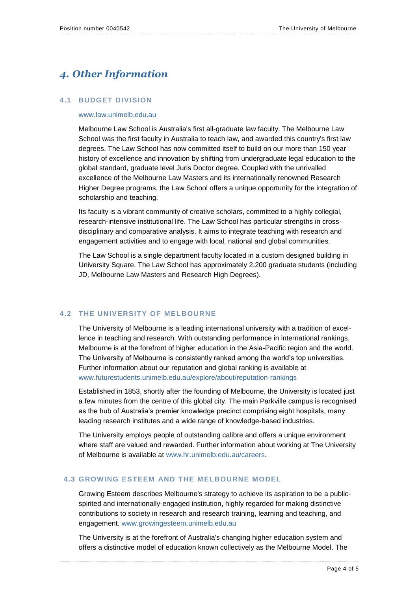# *4. Other Information*

#### **4.1 BUDGET DIVISION**

#### [www.law.unimelb.edu.au](http://www.law.unimelb.edu.au/)

Melbourne Law School is Australia's first all-graduate law faculty. The Melbourne Law School was the first faculty in Australia to teach law, and awarded this country's first law degrees. The Law School has now committed itself to build on our more than 150 year history of excellence and innovation by shifting from undergraduate legal education to the global standard, graduate level Juris Doctor degree. Coupled with the unrivalled excellence of the Melbourne Law Masters and its internationally renowned Research Higher Degree programs, the Law School offers a unique opportunity for the integration of scholarship and teaching.

Its faculty is a vibrant community of creative scholars, committed to a highly collegial, research-intensive institutional life. The Law School has particular strengths in crossdisciplinary and comparative analysis. It aims to integrate teaching with research and engagement activities and to engage with local, national and global communities.

The Law School is a single department faculty located in a custom designed building in University Square. The Law School has approximately 2,200 graduate students (including JD, Melbourne Law Masters and Research High Degrees).

#### **4.2 THE UNIVERSITY OF MELBOURNE**

The University of Melbourne is a leading international university with a tradition of excellence in teaching and research. With outstanding performance in international rankings, Melbourne is at the forefront of higher education in the Asia-Pacific region and the world. The University of Melbourne is consistently ranked among the world's top universities. Further information about our reputation and global ranking is available at [www.futurestudents.unimelb.edu.au/explore/about/reputation-rankings](http://www.futurestudents.unimelb.edu.au/explore/about/reputation-rankings)

Established in 1853, shortly after the founding of Melbourne, the University is located just a few minutes from the centre of this global city. The main Parkville campus is recognised as the hub of Australia's premier knowledge precinct comprising eight hospitals, many leading research institutes and a wide range of knowledge-based industries.

The University employs people of outstanding calibre and offers a unique environment where staff are valued and rewarded. Further information about working at The University of Melbourne is available at [www.hr.unimelb.edu.au/careers.](file:///C:/Documents%20and%20Settings/jsedgman/Local%20Settings/Temporary%20Internet%20Files/Content.Outlook/scougan/Local%20Settings/Temporary%20Internet%20Files/baj/Local%20Settings/Temporary%20Internet%20Files/Content.Outlook/Templates/www.hr.unimelb.edu.au/careers)

#### **4.3 GROWING ESTEEM AND THE MELBOURNE MODEL**

Growing Esteem describes Melbourne's strategy to achieve its aspiration to be a publicspirited and internationally-engaged institution, highly regarded for making distinctive contributions to society in research and research training, learning and teaching, and engagement. [www.growingesteem.unimelb.edu.au](file:///C:/Documents%20and%20Settings/jsedgman/Local%20Settings/Temporary%20Internet%20Files/Content.Outlook/scougan/Local%20Settings/Temporary%20Internet%20Files/baj/Local%20Settings/Temporary%20Internet%20Files/Content.Outlook/Templates/www.growingesteem.unimelb.edu.au)

The University is at the forefront of Australia's changing higher education system and offers a distinctive model of education known collectively as the Melbourne Model. The